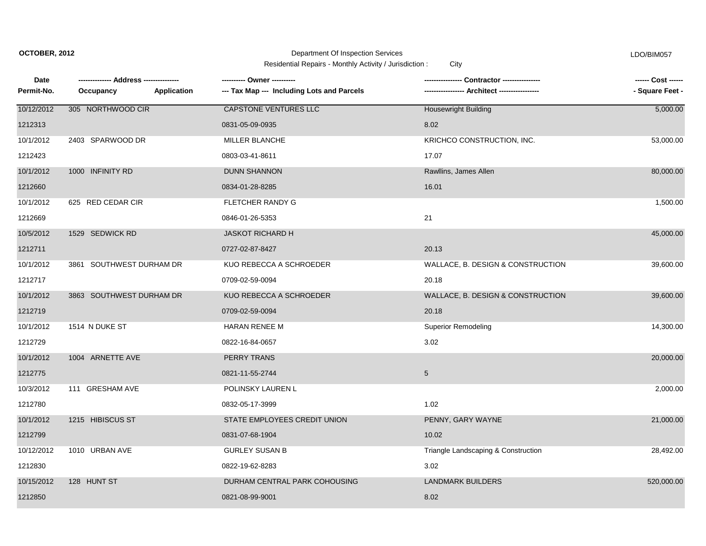|                   |             | ---------- Owner ----------                                                                   | <b>Contractor ----------</b>        | ------ Cost ------ |
|-------------------|-------------|-----------------------------------------------------------------------------------------------|-------------------------------------|--------------------|
| Occupancy         | Application | --- Tax Map --- Including Lots and Parcels                                                    | -- Architect ---                    | - Square Feet -    |
|                   |             | CAPSTONE VENTURES LLC                                                                         | <b>Housewright Building</b>         | 5,000.00           |
|                   |             | 0831-05-09-0935                                                                               | 8.02                                |                    |
|                   |             | MILLER BLANCHE                                                                                | KRICHCO CONSTRUCTION, INC.          | 53,000.00          |
|                   |             | 0803-03-41-8611                                                                               | 17.07                               |                    |
| 1000 INFINITY RD  |             | <b>DUNN SHANNON</b>                                                                           | Rawllins, James Allen               | 80,000.00          |
|                   |             | 0834-01-28-8285                                                                               | 16.01                               |                    |
| 625 RED CEDAR CIR |             | FLETCHER RANDY G                                                                              |                                     | 1,500.00           |
|                   |             | 0846-01-26-5353                                                                               | 21                                  |                    |
| 1529 SEDWICK RD   |             | <b>JASKOT RICHARD H</b>                                                                       |                                     | 45,000.00          |
|                   |             | 0727-02-87-8427                                                                               | 20.13                               |                    |
|                   |             | KUO REBECCA A SCHROEDER                                                                       | WALLACE, B. DESIGN & CONSTRUCTION   | 39,600.00          |
|                   |             | 0709-02-59-0094                                                                               | 20.18                               |                    |
|                   |             | KUO REBECCA A SCHROEDER                                                                       | WALLACE, B. DESIGN & CONSTRUCTION   | 39,600.00          |
|                   |             | 0709-02-59-0094                                                                               | 20.18                               |                    |
| 1514 N DUKE ST    |             | <b>HARAN RENEE M</b>                                                                          | <b>Superior Remodeling</b>          | 14,300.00          |
|                   |             | 0822-16-84-0657                                                                               | 3.02                                |                    |
| 1004 ARNETTE AVE  |             | PERRY TRANS                                                                                   |                                     | 20,000.00          |
|                   |             | 0821-11-55-2744                                                                               | $5\overline{)}$                     |                    |
| 111 GRESHAM AVE   |             | POLINSKY LAUREN L                                                                             |                                     | 2,000.00           |
|                   |             | 0832-05-17-3999                                                                               | 1.02                                |                    |
| 1215 HIBISCUS ST  |             | STATE EMPLOYEES CREDIT UNION                                                                  | PENNY, GARY WAYNE                   | 21,000.00          |
|                   |             | 0831-07-68-1904                                                                               | 10.02                               |                    |
| 1010 URBAN AVE    |             | <b>GURLEY SUSAN B</b>                                                                         | Triangle Landscaping & Construction | 28,492.00          |
|                   |             | 0822-19-62-8283                                                                               | 3.02                                |                    |
| 128 HUNT ST       |             | DURHAM CENTRAL PARK COHOUSING                                                                 | <b>LANDMARK BUILDERS</b>            | 520,000.00         |
|                   |             | 0821-08-99-9001                                                                               | 8.02                                |                    |
|                   |             | 305 NORTHWOOD CIR<br>2403 SPARWOOD DR<br>3861 SOUTHWEST DURHAM DR<br>3863 SOUTHWEST DURHAM DR |                                     |                    |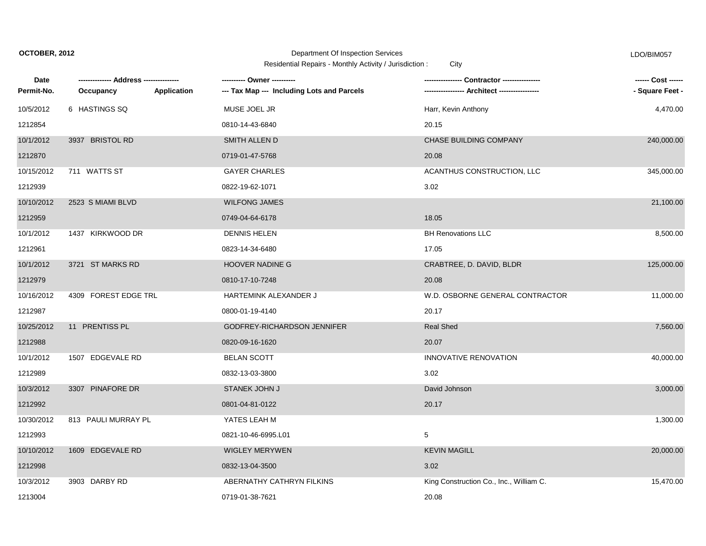| Date<br>Permit-No. | -------------- Address ---------------<br>Application<br>Occupancy | ---------- Owner ----------<br>--- Tax Map --- Including Lots and Parcels |                                         | ------ Cost ------<br>- Square Feet - |
|--------------------|--------------------------------------------------------------------|---------------------------------------------------------------------------|-----------------------------------------|---------------------------------------|
| 10/5/2012          | 6 HASTINGS SQ                                                      | MUSE JOEL JR                                                              | Harr, Kevin Anthony                     | 4,470.00                              |
| 1212854            |                                                                    | 0810-14-43-6840                                                           | 20.15                                   |                                       |
| 10/1/2012          | 3937 BRISTOL RD                                                    | SMITH ALLEN D                                                             | <b>CHASE BUILDING COMPANY</b>           | 240,000.00                            |
| 1212870            |                                                                    | 0719-01-47-5768                                                           | 20.08                                   |                                       |
| 10/15/2012         | 711 WATTS ST                                                       | <b>GAYER CHARLES</b>                                                      | ACANTHUS CONSTRUCTION, LLC              | 345,000.00                            |
| 1212939            |                                                                    | 0822-19-62-1071                                                           | 3.02                                    |                                       |
| 10/10/2012         | 2523 S MIAMI BLVD                                                  | <b>WILFONG JAMES</b>                                                      |                                         | 21,100.00                             |
| 1212959            |                                                                    | 0749-04-64-6178                                                           | 18.05                                   |                                       |
| 10/1/2012          | 1437 KIRKWOOD DR                                                   | <b>DENNIS HELEN</b>                                                       | <b>BH Renovations LLC</b>               | 8,500.00                              |
| 1212961            |                                                                    | 0823-14-34-6480                                                           | 17.05                                   |                                       |
| 10/1/2012          | 3721 ST MARKS RD                                                   | <b>HOOVER NADINE G</b>                                                    | CRABTREE, D. DAVID, BLDR                | 125,000.00                            |
| 1212979            |                                                                    | 0810-17-10-7248                                                           | 20.08                                   |                                       |
| 10/16/2012         | 4309 FOREST EDGE TRL                                               | HARTEMINK ALEXANDER J                                                     | W.D. OSBORNE GENERAL CONTRACTOR         | 11,000.00                             |
| 1212987            |                                                                    | 0800-01-19-4140                                                           | 20.17                                   |                                       |
| 10/25/2012         | 11 PRENTISS PL                                                     | GODFREY-RICHARDSON JENNIFER                                               | <b>Real Shed</b>                        | 7,560.00                              |
| 1212988            |                                                                    | 0820-09-16-1620                                                           | 20.07                                   |                                       |
| 10/1/2012          | 1507 EDGEVALE RD                                                   | <b>BELAN SCOTT</b>                                                        | <b>INNOVATIVE RENOVATION</b>            | 40,000.00                             |
| 1212989            |                                                                    | 0832-13-03-3800                                                           | 3.02                                    |                                       |
| 10/3/2012          | 3307 PINAFORE DR                                                   | STANEK JOHN J                                                             | David Johnson                           | 3,000.00                              |
| 1212992            |                                                                    | 0801-04-81-0122                                                           | 20.17                                   |                                       |
| 10/30/2012         | 813 PAULI MURRAY PL                                                | YATES LEAH M                                                              |                                         | 1,300.00                              |
| 1212993            |                                                                    | 0821-10-46-6995.L01                                                       | 5                                       |                                       |
| 10/10/2012         | 1609 EDGEVALE RD                                                   | <b>WIGLEY MERYWEN</b>                                                     | <b>KEVIN MAGILL</b>                     | 20,000.00                             |
| 1212998            |                                                                    | 0832-13-04-3500                                                           | 3.02                                    |                                       |
| 10/3/2012          | 3903 DARBY RD                                                      | ABERNATHY CATHRYN FILKINS                                                 | King Construction Co., Inc., William C. | 15,470.00                             |
| 1213004            |                                                                    | 0719-01-38-7621                                                           | 20.08                                   |                                       |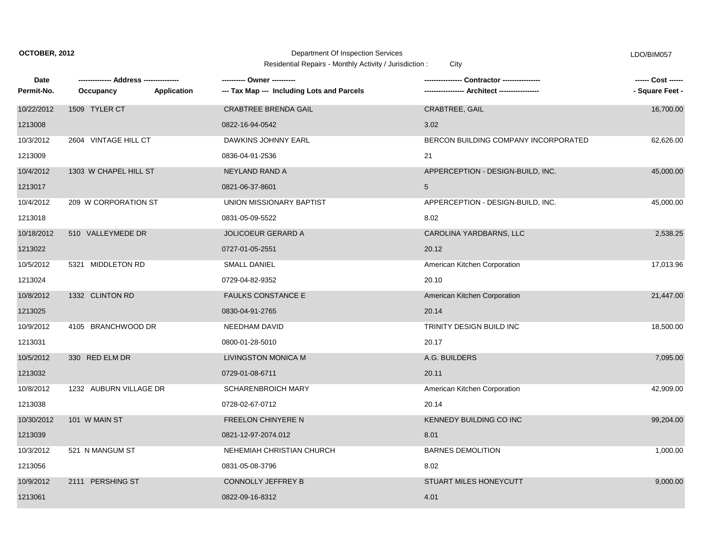| <b>Date</b> |                          |                                            | Contractor ----------------          | ------ Cost ------ |
|-------------|--------------------------|--------------------------------------------|--------------------------------------|--------------------|
| Permit-No.  | Application<br>Occupancy | --- Tax Map --- Including Lots and Parcels | --- Architect -----------------      | - Square Feet -    |
| 10/22/2012  | 1509 TYLER CT            | <b>CRABTREE BRENDA GAIL</b>                | <b>CRABTREE, GAIL</b>                | 16,700.00          |
| 1213008     |                          | 0822-16-94-0542                            | 3.02                                 |                    |
| 10/3/2012   | 2604 VINTAGE HILL CT     | DAWKINS JOHNNY EARL                        | BERCON BUILDING COMPANY INCORPORATED | 62,626.00          |
| 1213009     |                          | 0836-04-91-2536                            | 21                                   |                    |
| 10/4/2012   | 1303 W CHAPEL HILL ST    | NEYLAND RAND A                             | APPERCEPTION - DESIGN-BUILD, INC.    | 45,000.00          |
| 1213017     |                          | 0821-06-37-8601                            | $5\overline{)}$                      |                    |
| 10/4/2012   | 209 W CORPORATION ST     | UNION MISSIONARY BAPTIST                   | APPERCEPTION - DESIGN-BUILD, INC.    | 45,000.00          |
| 1213018     |                          | 0831-05-09-5522                            | 8.02                                 |                    |
| 10/18/2012  | 510 VALLEYMEDE DR        | <b>JOLICOEUR GERARD A</b>                  | CAROLINA YARDBARNS, LLC              | 2,538.25           |
| 1213022     |                          | 0727-01-05-2551                            | 20.12                                |                    |
| 10/5/2012   | 5321 MIDDLETON RD        | SMALL DANIEL                               | American Kitchen Corporation         | 17,013.96          |
| 1213024     |                          | 0729-04-82-9352                            | 20.10                                |                    |
| 10/8/2012   | 1332 CLINTON RD          | <b>FAULKS CONSTANCE E</b>                  | American Kitchen Corporation         | 21,447.00          |
| 1213025     |                          | 0830-04-91-2765                            | 20.14                                |                    |
| 10/9/2012   | 4105 BRANCHWOOD DR       | NEEDHAM DAVID                              | TRINITY DESIGN BUILD INC             | 18,500.00          |
| 1213031     |                          | 0800-01-28-5010                            | 20.17                                |                    |
| 10/5/2012   | 330 RED ELM DR           | LIVINGSTON MONICA M                        | A.G. BUILDERS                        | 7,095.00           |
| 1213032     |                          | 0729-01-08-6711                            | 20.11                                |                    |
| 10/8/2012   | 1232 AUBURN VILLAGE DR   | <b>SCHARENBROICH MARY</b>                  | American Kitchen Corporation         | 42,909.00          |
| 1213038     |                          | 0728-02-67-0712                            | 20.14                                |                    |
| 10/30/2012  | 101 W MAIN ST            | <b>FREELON CHINYERE N</b>                  | KENNEDY BUILDING CO INC              | 99,204.00          |
| 1213039     |                          | 0821-12-97-2074.012                        | 8.01                                 |                    |
| 10/3/2012   | 521 N MANGUM ST          | NEHEMIAH CHRISTIAN CHURCH                  | <b>BARNES DEMOLITION</b>             | 1,000.00           |
| 1213056     |                          | 0831-05-08-3796                            | 8.02                                 |                    |
| 10/9/2012   | 2111 PERSHING ST         | CONNOLLY JEFFREY B                         | STUART MILES HONEYCUTT               | 9,000.00           |
| 1213061     |                          | 0822-09-16-8312                            | 4.01                                 |                    |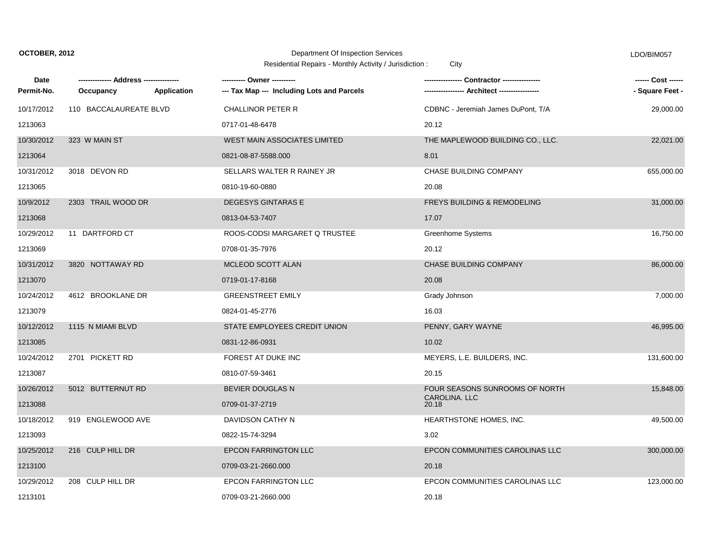| Date       |                        |             |                                            | - Contractor ---------------                    | ------ Cost ------ |
|------------|------------------------|-------------|--------------------------------------------|-------------------------------------------------|--------------------|
| Permit-No. | Occupancy              | Application | --- Tax Map --- Including Lots and Parcels |                                                 | - Square Feet -    |
| 10/17/2012 | 110 BACCALAUREATE BLVD |             | <b>CHALLINOR PETER R</b>                   | CDBNC - Jeremiah James DuPont, T/A              | 29,000.00          |
| 1213063    |                        |             | 0717-01-48-6478                            | 20.12                                           |                    |
| 10/30/2012 | 323 W MAIN ST          |             | <b>WEST MAIN ASSOCIATES LIMITED</b>        | THE MAPLEWOOD BUILDING CO., LLC.                | 22,021.00          |
| 1213064    |                        |             | 0821-08-87-5588.000                        | 8.01                                            |                    |
| 10/31/2012 | 3018 DEVON RD          |             | SELLARS WALTER R RAINEY JR                 | CHASE BUILDING COMPANY                          | 655,000.00         |
| 1213065    |                        |             | 0810-19-60-0880                            | 20.08                                           |                    |
| 10/9/2012  | 2303 TRAIL WOOD DR     |             | <b>DEGESYS GINTARAS E</b>                  | <b>FREYS BUILDING &amp; REMODELING</b>          | 31,000.00          |
| 1213068    |                        |             | 0813-04-53-7407                            | 17.07                                           |                    |
| 10/29/2012 | 11 DARTFORD CT         |             | ROOS-CODSI MARGARET Q TRUSTEE              | Greenhome Systems                               | 16,750.00          |
| 1213069    |                        |             | 0708-01-35-7976                            | 20.12                                           |                    |
| 10/31/2012 | 3820 NOTTAWAY RD       |             | MCLEOD SCOTT ALAN                          | <b>CHASE BUILDING COMPANY</b>                   | 86,000.00          |
| 1213070    |                        |             | 0719-01-17-8168                            | 20.08                                           |                    |
| 10/24/2012 | 4612 BROOKLANE DR      |             | <b>GREENSTREET EMILY</b>                   | Grady Johnson                                   | 7,000.00           |
| 1213079    |                        |             | 0824-01-45-2776                            | 16.03                                           |                    |
| 10/12/2012 | 1115 N MIAMI BLVD      |             | STATE EMPLOYEES CREDIT UNION               | PENNY, GARY WAYNE                               | 46,995.00          |
| 1213085    |                        |             | 0831-12-86-0931                            | 10.02                                           |                    |
| 10/24/2012 | 2701 PICKETT RD        |             | FOREST AT DUKE INC                         | MEYERS, L.E. BUILDERS, INC.                     | 131,600.00         |
| 1213087    |                        |             | 0810-07-59-3461                            | 20.15                                           |                    |
| 10/26/2012 | 5012 BUTTERNUT RD      |             | <b>BEVIER DOUGLAS N</b>                    | FOUR SEASONS SUNROOMS OF NORTH<br>CAROLINA. LLC | 15,848.00          |
| 1213088    |                        |             | 0709-01-37-2719                            | 20.18                                           |                    |
| 10/18/2012 | 919 ENGLEWOOD AVE      |             | DAVIDSON CATHY N                           | HEARTHSTONE HOMES, INC.                         | 49,500.00          |
| 1213093    |                        |             | 0822-15-74-3294                            | 3.02                                            |                    |
| 10/25/2012 | 216 CULP HILL DR       |             | <b>EPCON FARRINGTON LLC</b>                | EPCON COMMUNITIES CAROLINAS LLC                 | 300,000.00         |
| 1213100    |                        |             | 0709-03-21-2660.000                        | 20.18                                           |                    |
| 10/29/2012 | 208 CULP HILL DR       |             | <b>EPCON FARRINGTON LLC</b>                | EPCON COMMUNITIES CAROLINAS LLC                 | 123,000.00         |
| 1213101    |                        |             | 0709-03-21-2660.000                        | 20.18                                           |                    |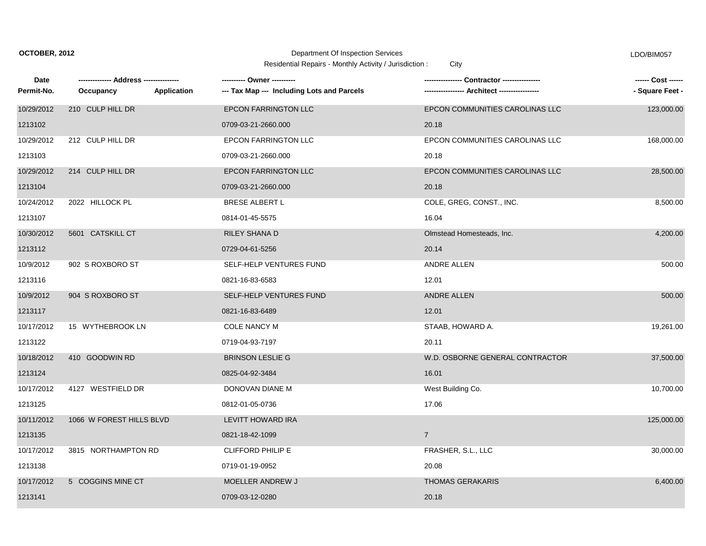| Date       | -------------- Address --------------- | ---------- Owner ----------                | Contractor ----------------     | ------ Cost ------ |
|------------|----------------------------------------|--------------------------------------------|---------------------------------|--------------------|
| Permit-No. | Application<br>Occupancy               | --- Tax Map --- Including Lots and Parcels |                                 | - Square Feet -    |
| 10/29/2012 | 210 CULP HILL DR                       | <b>EPCON FARRINGTON LLC</b>                | EPCON COMMUNITIES CAROLINAS LLC | 123,000.00         |
| 1213102    |                                        | 0709-03-21-2660.000                        | 20.18                           |                    |
| 10/29/2012 | 212 CULP HILL DR                       | <b>EPCON FARRINGTON LLC</b>                | EPCON COMMUNITIES CAROLINAS LLC | 168,000.00         |
| 1213103    |                                        | 0709-03-21-2660.000                        | 20.18                           |                    |
| 10/29/2012 | 214 CULP HILL DR                       | <b>EPCON FARRINGTON LLC</b>                | EPCON COMMUNITIES CAROLINAS LLC | 28,500.00          |
| 1213104    |                                        | 0709-03-21-2660.000                        | 20.18                           |                    |
| 10/24/2012 | 2022 HILLOCK PL                        | <b>BRESE ALBERT L</b>                      | COLE, GREG, CONST., INC.        | 8,500.00           |
| 1213107    |                                        | 0814-01-45-5575                            | 16.04                           |                    |
| 10/30/2012 | 5601 CATSKILL CT                       | RILEY SHANA D                              | Olmstead Homesteads, Inc.       | 4,200.00           |
| 1213112    |                                        | 0729-04-61-5256                            | 20.14                           |                    |
| 10/9/2012  | 902 S ROXBORO ST                       | SELF-HELP VENTURES FUND                    | ANDRE ALLEN                     | 500.00             |
| 1213116    |                                        | 0821-16-83-6583                            | 12.01                           |                    |
| 10/9/2012  | 904 S ROXBORO ST                       | SELF-HELP VENTURES FUND                    | ANDRE ALLEN                     | 500.00             |
| 1213117    |                                        | 0821-16-83-6489                            | 12.01                           |                    |
| 10/17/2012 | 15 WYTHEBROOK LN                       | COLE NANCY M                               | STAAB, HOWARD A.                | 19,261.00          |
| 1213122    |                                        | 0719-04-93-7197                            | 20.11                           |                    |
| 10/18/2012 | 410 GOODWIN RD                         | <b>BRINSON LESLIE G</b>                    | W.D. OSBORNE GENERAL CONTRACTOR | 37,500.00          |
| 1213124    |                                        | 0825-04-92-3484                            | 16.01                           |                    |
| 10/17/2012 | 4127 WESTFIELD DR                      | DONOVAN DIANE M                            | West Building Co.               | 10,700.00          |
| 1213125    |                                        | 0812-01-05-0736                            | 17.06                           |                    |
| 10/11/2012 | 1066 W FOREST HILLS BLVD               | <b>LEVITT HOWARD IRA</b>                   |                                 | 125,000.00         |
| 1213135    |                                        | 0821-18-42-1099                            | $\overline{7}$                  |                    |
| 10/17/2012 | 3815 NORTHAMPTON RD                    | <b>CLIFFORD PHILIP E</b>                   | FRASHER, S.L., LLC              | 30,000.00          |
| 1213138    |                                        | 0719-01-19-0952                            | 20.08                           |                    |
| 10/17/2012 | 5 COGGINS MINE CT                      | MOELLER ANDREW J                           | <b>THOMAS GERAKARIS</b>         | 6,400.00           |
| 1213141    |                                        | 0709-03-12-0280                            | 20.18                           |                    |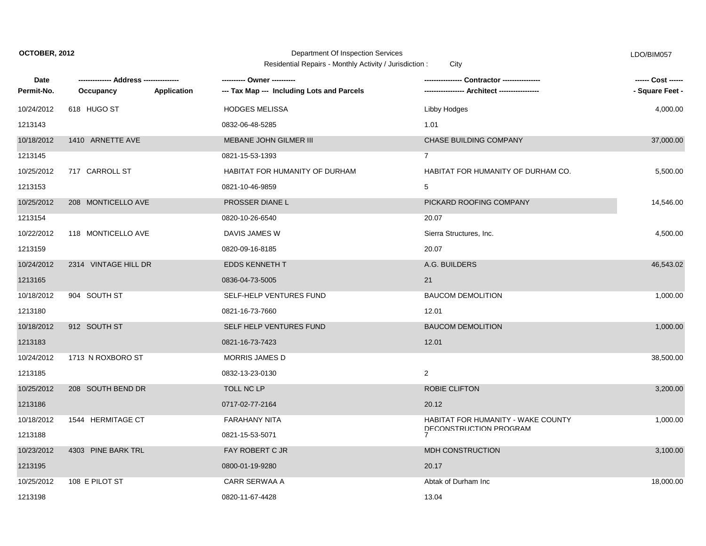| Date<br>Permit-No. | ------------- Address --------------<br>Occupancy | Application | ---------- Owner ----------<br>--- Tax Map --- Including Lots and Parcels |                                           | ------ Cost ------<br>- Square Feet - |
|--------------------|---------------------------------------------------|-------------|---------------------------------------------------------------------------|-------------------------------------------|---------------------------------------|
|                    |                                                   |             |                                                                           |                                           |                                       |
| 10/24/2012         | 618 HUGO ST                                       |             | <b>HODGES MELISSA</b>                                                     | Libby Hodges                              | 4,000.00                              |
| 1213143            |                                                   |             | 0832-06-48-5285                                                           | 1.01                                      |                                       |
| 10/18/2012         | 1410 ARNETTE AVE                                  |             | MEBANE JOHN GILMER III                                                    | CHASE BUILDING COMPANY                    | 37,000.00                             |
| 1213145            |                                                   |             | 0821-15-53-1393                                                           | $\overline{7}$                            |                                       |
| 10/25/2012         | 717 CARROLL ST                                    |             | HABITAT FOR HUMANITY OF DURHAM                                            | HABITAT FOR HUMANITY OF DURHAM CO.        | 5,500.00                              |
| 1213153            |                                                   |             | 0821-10-46-9859                                                           | 5                                         |                                       |
| 10/25/2012         | 208 MONTICELLO AVE                                |             | <b>PROSSER DIANE L</b>                                                    | PICKARD ROOFING COMPANY                   | 14,546.00                             |
| 1213154            |                                                   |             | 0820-10-26-6540                                                           | 20.07                                     |                                       |
| 10/22/2012         | 118 MONTICELLO AVE                                |             | DAVIS JAMES W                                                             | Sierra Structures, Inc.                   | 4,500.00                              |
| 1213159            |                                                   |             | 0820-09-16-8185                                                           | 20.07                                     |                                       |
| 10/24/2012         | 2314 VINTAGE HILL DR                              |             | EDDS KENNETH T                                                            | A.G. BUILDERS                             | 46,543.02                             |
| 1213165            |                                                   |             | 0836-04-73-5005                                                           | 21                                        |                                       |
| 10/18/2012         | 904 SOUTH ST                                      |             | SELF-HELP VENTURES FUND                                                   | <b>BAUCOM DEMOLITION</b>                  | 1,000.00                              |
| 1213180            |                                                   |             | 0821-16-73-7660                                                           | 12.01                                     |                                       |
| 10/18/2012         | 912 SOUTH ST                                      |             | SELF HELP VENTURES FUND                                                   | <b>BAUCOM DEMOLITION</b>                  | 1,000.00                              |
| 1213183            |                                                   |             | 0821-16-73-7423                                                           | 12.01                                     |                                       |
| 10/24/2012         | 1713 N ROXBORO ST                                 |             | MORRIS JAMES D                                                            |                                           | 38,500.00                             |
| 1213185            |                                                   |             | 0832-13-23-0130                                                           | 2                                         |                                       |
| 10/25/2012         | 208 SOUTH BEND DR                                 |             | TOLL NC LP                                                                | <b>ROBIE CLIFTON</b>                      | 3,200.00                              |
| 1213186            |                                                   |             | 0717-02-77-2164                                                           | 20.12                                     |                                       |
| 10/18/2012         | 1544 HERMITAGE CT                                 |             | <b>FARAHANY NITA</b>                                                      | <b>HABITAT FOR HUMANITY - WAKE COUNTY</b> | 1,000.00                              |
| 1213188            |                                                   |             | 0821-15-53-5071                                                           | DECONSTRUCTION PROGRAM                    |                                       |
| 10/23/2012         | 4303 PINE BARK TRL                                |             | FAY ROBERT C JR                                                           | MDH CONSTRUCTION                          | 3,100.00                              |
| 1213195            |                                                   |             | 0800-01-19-9280                                                           | 20.17                                     |                                       |
| 10/25/2012         | 108 E PILOT ST                                    |             | <b>CARR SERWAA A</b>                                                      | Abtak of Durham Inc                       | 18,000.00                             |
| 1213198            |                                                   |             | 0820-11-67-4428                                                           | 13.04                                     |                                       |